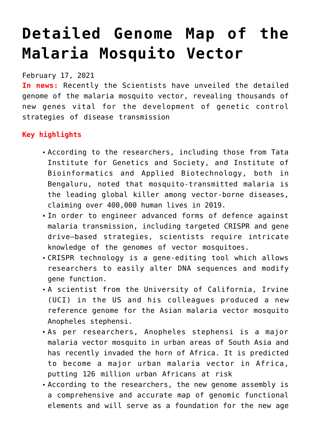# **[Detailed Genome Map of the](https://journalsofindia.com/detailed-genome-map-of-the-malaria-mosquito-vector/) [Malaria Mosquito Vector](https://journalsofindia.com/detailed-genome-map-of-the-malaria-mosquito-vector/)**

February 17, 2021

**In news:** Recently the Scientists have unveiled the detailed genome of the malaria mosquito vector, revealing thousands of new genes vital for the development of genetic control strategies of disease transmission

## **Key highlights**

- According to the researchers, including those from Tata Institute for Genetics and Society, and Institute of Bioinformatics and Applied Biotechnology, both in Bengaluru, noted that mosquito-transmitted malaria is the leading global killer among vector-borne diseases, claiming over 400,000 human lives in 2019.
- In order to engineer advanced forms of defence against malaria transmission, including targeted CRISPR and gene drive–based strategies, scientists require intricate knowledge of the genomes of vector mosquitoes.
- CRISPR technology is a gene-editing tool which allows researchers to easily alter DNA sequences and modify gene function.
- A scientist from the University of California, Irvine (UCI) in the US and his colleagues produced a new reference genome for the Asian malaria vector mosquito Anopheles stephensi.
- As per researchers, Anopheles stephensi is a major malaria vector mosquito in urban areas of South Asia and has recently invaded the horn of Africa. It is predicted to become a major urban malaria vector in Africa, putting 126 million urban Africans at risk
- According to the researchers, the new genome assembly is a comprehensive and accurate map of genomic functional elements and will serve as a foundation for the new age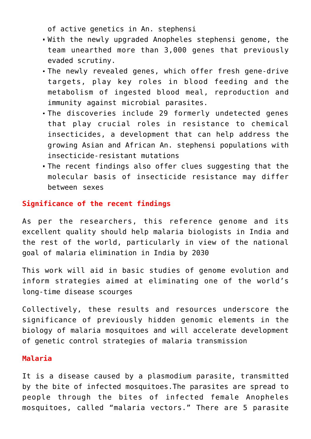of active genetics in An. stephensi

- With the newly upgraded Anopheles stephensi genome, the team unearthed more than 3,000 genes that previously evaded scrutiny.
- The newly revealed genes, which offer fresh gene-drive targets, play key roles in blood feeding and the metabolism of ingested blood meal, reproduction and immunity against microbial parasites.
- The discoveries include 29 formerly undetected genes that play crucial roles in resistance to chemical insecticides, a development that can help address the growing Asian and African An. stephensi populations with insecticide-resistant mutations
- The recent findings also offer clues suggesting that the molecular basis of insecticide resistance may differ between sexes

## **Significance of the recent findings**

As per the researchers, this reference genome and its excellent quality should help malaria biologists in India and the rest of the world, particularly in view of the national goal of malaria elimination in India by 2030

This work will aid in basic studies of genome evolution and inform strategies aimed at eliminating one of the world's long-time disease scourges

Collectively, these results and resources underscore the significance of previously hidden genomic elements in the biology of malaria mosquitoes and will accelerate development of genetic control strategies of malaria transmission

#### **Malaria**

It is a disease caused by a plasmodium parasite, transmitted by the bite of infected mosquitoes.The parasites are spread to people through the bites of infected female Anopheles mosquitoes, called "malaria vectors." There are 5 parasite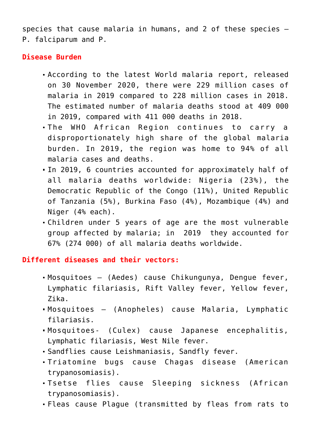species that cause malaria in humans, and 2 of these species – P. falciparum and P.

### **Disease Burden**

- According to the latest World malaria report, released on 30 November 2020, there were 229 million cases of malaria in 2019 compared to 228 million cases in 2018. The estimated number of malaria deaths stood at 409 000 in 2019, compared with 411 000 deaths in 2018.
- The WHO African Region continues to carry a disproportionately high share of the global malaria burden. In 2019, the region was home to 94% of all malaria cases and deaths.
- In 2019, 6 countries accounted for approximately half of all malaria deaths worldwide: Nigeria (23%), the Democratic Republic of the Congo (11%), United Republic of Tanzania (5%), Burkina Faso (4%), Mozambique (4%) and Niger (4% each).
- Children under 5 years of age are the most vulnerable group affected by malaria; in 2019 they accounted for 67% (274 000) of all malaria deaths worldwide.

**Different diseases and their vectors:**

- Mosquitoes (Aedes) cause Chikungunya, Dengue fever, Lymphatic filariasis, Rift Valley fever, Yellow fever, Zika.
- Mosquitoes (Anopheles) cause Malaria, Lymphatic filariasis.
- Mosquitoes- (Culex) cause Japanese encephalitis, Lymphatic filariasis, West Nile fever.
- Sandflies cause Leishmaniasis, Sandfly fever.
- Triatomine bugs cause Chagas disease (American trypanosomiasis).
- Tsetse flies cause Sleeping sickness (African trypanosomiasis).
- Fleas cause Plague (transmitted by fleas from rats to